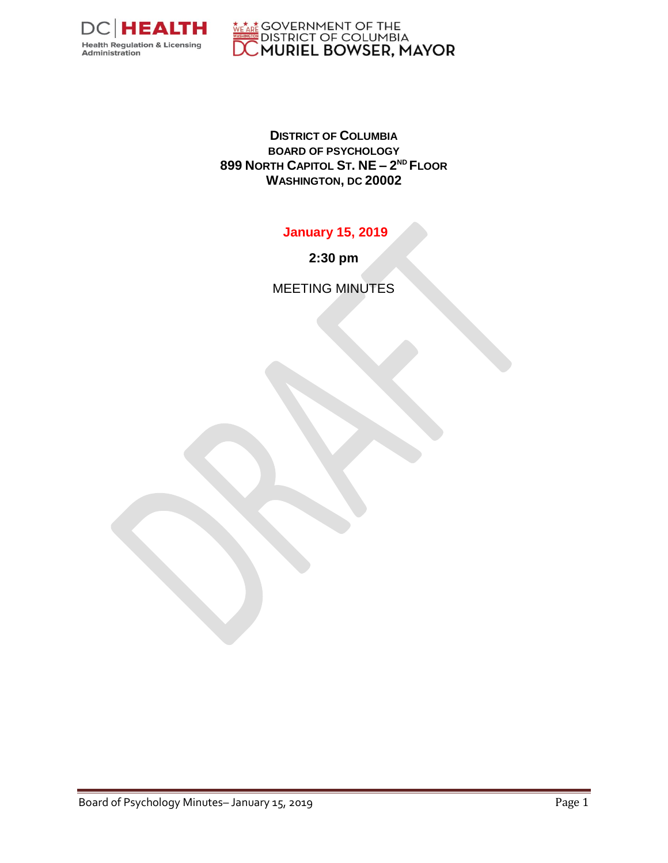

<u>Netat</u> GOVERNMENT OF THE<br>DISTRICT OF COLUMBIA<br>**DC MURIEL BOWSER, MAYOR** 

**DISTRICT OF COLUMBIA BOARD OF PSYCHOLOGY 899 NORTH CAPITOL ST. NE – 2 ND FLOOR WASHINGTON, DC 20002**

**January 15, 2019**

**2:30 pm**

MEETING MINUTES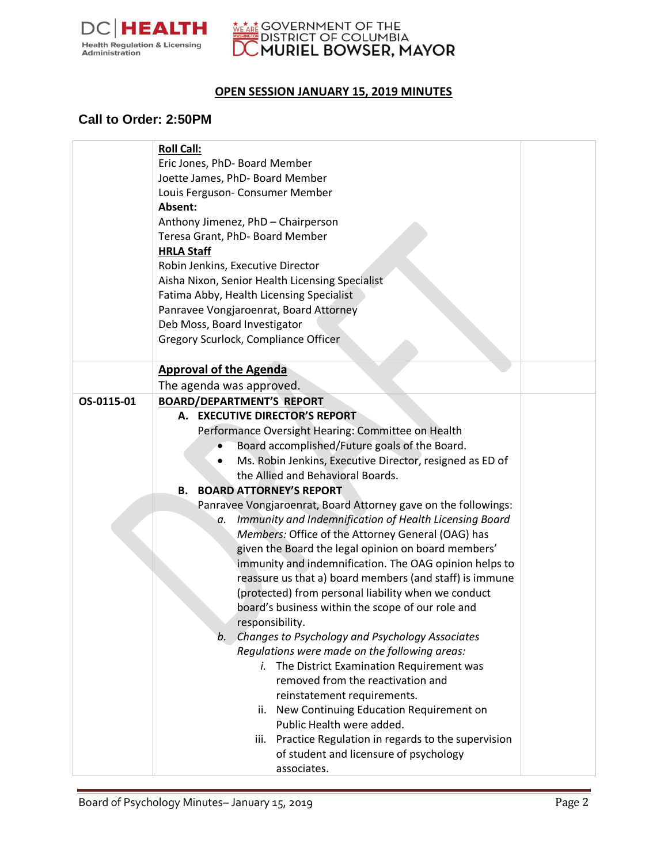

## **MEARE GOVERNMENT OF THE SOLUMBIA**<br>DISTRICT OF COLUMBIA<br>**DC MURIEL BOWSER, MAYOR**

## **OPEN SESSION JANUARY 15, 2019 MINUTES**

## **Call to Order: 2:50PM**

|            | <b>Roll Call:</b>                                              |  |
|------------|----------------------------------------------------------------|--|
|            | Eric Jones, PhD- Board Member                                  |  |
|            | Joette James, PhD- Board Member                                |  |
|            | Louis Ferguson- Consumer Member                                |  |
|            | Absent:                                                        |  |
|            | Anthony Jimenez, PhD - Chairperson                             |  |
|            | Teresa Grant, PhD- Board Member                                |  |
|            | <b>HRLA Staff</b>                                              |  |
|            | Robin Jenkins, Executive Director                              |  |
|            | Aisha Nixon, Senior Health Licensing Specialist                |  |
|            | Fatima Abby, Health Licensing Specialist                       |  |
|            | Panravee Vongjaroenrat, Board Attorney                         |  |
|            | Deb Moss, Board Investigator                                   |  |
|            | Gregory Scurlock, Compliance Officer                           |  |
|            |                                                                |  |
|            | <b>Approval of the Agenda</b>                                  |  |
|            | The agenda was approved.                                       |  |
| OS-0115-01 | <b>BOARD/DEPARTMENT'S REPORT</b>                               |  |
|            | A. EXECUTIVE DIRECTOR'S REPORT                                 |  |
|            | Performance Oversight Hearing: Committee on Health             |  |
|            | Board accomplished/Future goals of the Board.                  |  |
|            | Ms. Robin Jenkins, Executive Director, resigned as ED of       |  |
|            | the Allied and Behavioral Boards.                              |  |
|            | <b>B. BOARD ATTORNEY'S REPORT</b>                              |  |
|            | Panravee Vongjaroenrat, Board Attorney gave on the followings: |  |
|            | Immunity and Indemnification of Health Licensing Board<br>а.   |  |
|            | Members: Office of the Attorney General (OAG) has              |  |
|            | given the Board the legal opinion on board members'            |  |
|            | immunity and indemnification. The OAG opinion helps to         |  |
|            | reassure us that a) board members (and staff) is immune        |  |
|            | (protected) from personal liability when we conduct            |  |
|            | board's business within the scope of our role and              |  |
|            | responsibility.                                                |  |
|            | Changes to Psychology and Psychology Associates<br>b.          |  |
|            | Regulations were made on the following areas:                  |  |
|            | i. The District Examination Requirement was                    |  |
|            | removed from the reactivation and                              |  |
|            | reinstatement requirements.                                    |  |
|            | ii. New Continuing Education Requirement on                    |  |
|            | Public Health were added.                                      |  |
|            | Practice Regulation in regards to the supervision<br>iii.      |  |
|            | of student and licensure of psychology                         |  |
|            | associates.                                                    |  |